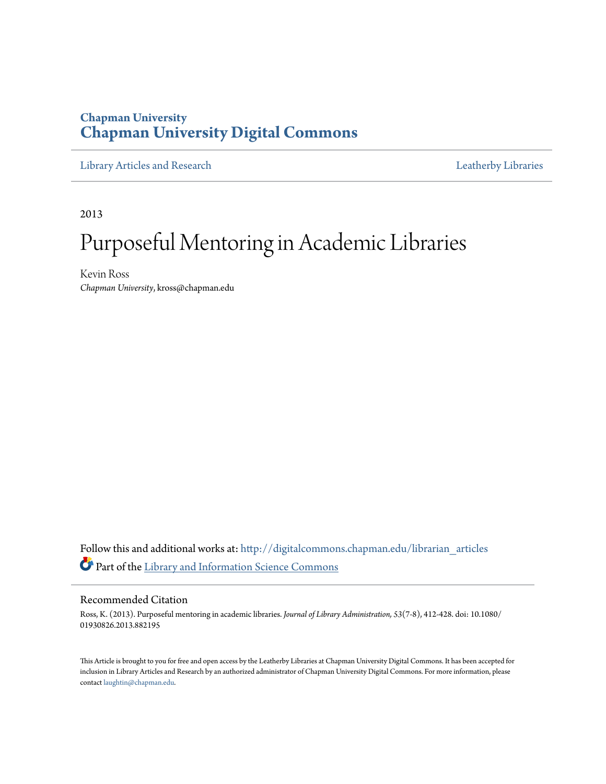### **Chapman University [Chapman University Digital Commons](http://digitalcommons.chapman.edu?utm_source=digitalcommons.chapman.edu%2Flibrarian_articles%2F9&utm_medium=PDF&utm_campaign=PDFCoverPages)**

[Library Articles and Research](http://digitalcommons.chapman.edu/librarian_articles?utm_source=digitalcommons.chapman.edu%2Flibrarian_articles%2F9&utm_medium=PDF&utm_campaign=PDFCoverPages) **Libraries** [Leatherby Libraries](http://digitalcommons.chapman.edu/leatherbylibraries?utm_source=digitalcommons.chapman.edu%2Flibrarian_articles%2F9&utm_medium=PDF&utm_campaign=PDFCoverPages)

2013

# Purposeful Mentoring in Academic Libraries

Kevin Ross *Chapman University*, kross@chapman.edu

Follow this and additional works at: [http://digitalcommons.chapman.edu/librarian\\_articles](http://digitalcommons.chapman.edu/librarian_articles?utm_source=digitalcommons.chapman.edu%2Flibrarian_articles%2F9&utm_medium=PDF&utm_campaign=PDFCoverPages) Part of the [Library and Information Science Commons](http://network.bepress.com/hgg/discipline/1018?utm_source=digitalcommons.chapman.edu%2Flibrarian_articles%2F9&utm_medium=PDF&utm_campaign=PDFCoverPages)

#### Recommended Citation

Ross, K. (2013). Purposeful mentoring in academic libraries. *Journal of Library Administration, 53*(7-8), 412-428. doi: 10.1080/ 01930826.2013.882195

This Article is brought to you for free and open access by the Leatherby Libraries at Chapman University Digital Commons. It has been accepted for inclusion in Library Articles and Research by an authorized administrator of Chapman University Digital Commons. For more information, please contact [laughtin@chapman.edu](mailto:laughtin@chapman.edu).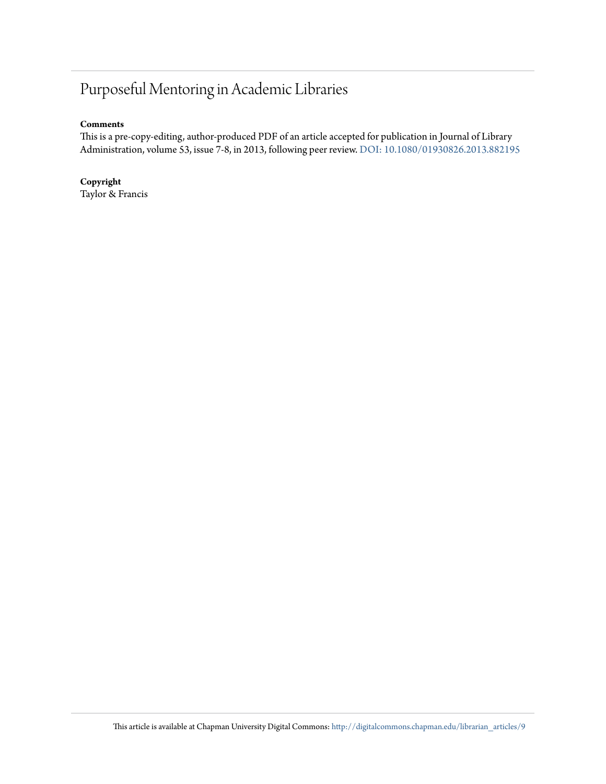## Purposeful Mentoring in Academic Libraries

#### **Comments**

This is a pre-copy-editing, author-produced PDF of an article accepted for publication in Journal of Library Administration, volume 53, issue 7-8, in 2013, following peer review. [DOI: 10.1080/01930826.2013.882195](http://dx.doi.org/10.1080/01930826.2013.882195)

**Copyright** Taylor & Francis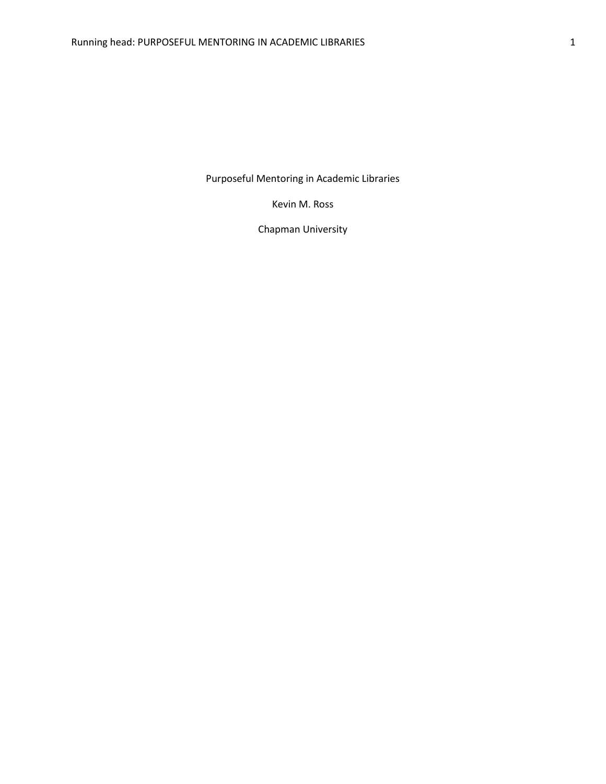Purposeful Mentoring in Academic Libraries

Kevin M. Ross

Chapman University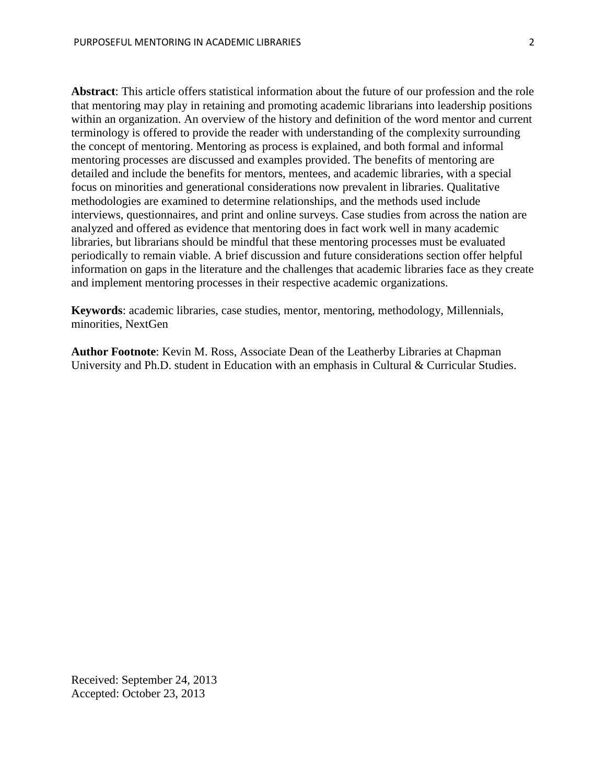**Abstract**: This article offers statistical information about the future of our profession and the role that mentoring may play in retaining and promoting academic librarians into leadership positions within an organization. An overview of the history and definition of the word mentor and current terminology is offered to provide the reader with understanding of the complexity surrounding the concept of mentoring. Mentoring as process is explained, and both formal and informal mentoring processes are discussed and examples provided. The benefits of mentoring are detailed and include the benefits for mentors, mentees, and academic libraries, with a special focus on minorities and generational considerations now prevalent in libraries. Qualitative methodologies are examined to determine relationships, and the methods used include interviews, questionnaires, and print and online surveys. Case studies from across the nation are analyzed and offered as evidence that mentoring does in fact work well in many academic libraries, but librarians should be mindful that these mentoring processes must be evaluated periodically to remain viable. A brief discussion and future considerations section offer helpful information on gaps in the literature and the challenges that academic libraries face as they create and implement mentoring processes in their respective academic organizations.

**Keywords**: academic libraries, case studies, mentor, mentoring, methodology, Millennials, minorities, NextGen

**Author Footnote**: Kevin M. Ross, Associate Dean of the Leatherby Libraries at Chapman University and Ph.D. student in Education with an emphasis in Cultural & Curricular Studies.

Received: September 24, 2013 Accepted: October 23, 2013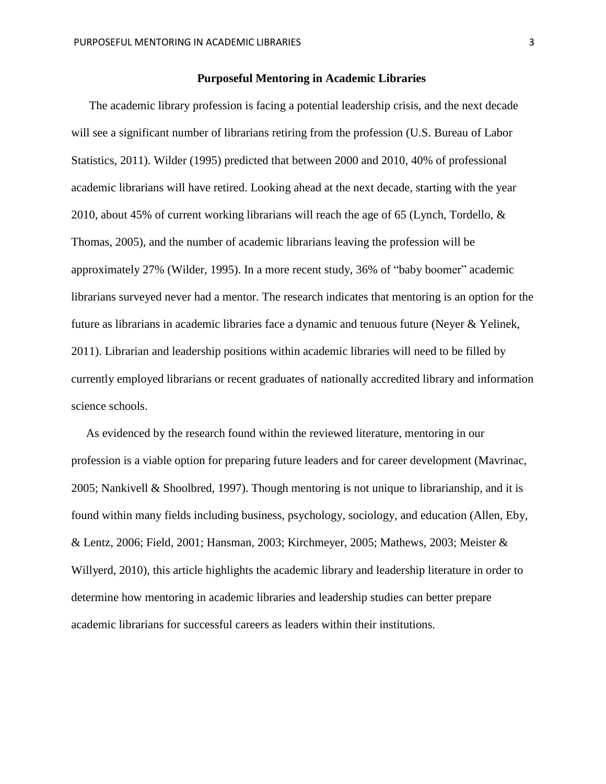#### **Purposeful Mentoring in Academic Libraries**

The academic library profession is facing a potential leadership crisis, and the next decade will see a significant number of librarians retiring from the profession (U.S. Bureau of Labor Statistics, 2011). Wilder (1995) predicted that between 2000 and 2010, 40% of professional academic librarians will have retired. Looking ahead at the next decade, starting with the year 2010, about 45% of current working librarians will reach the age of 65 (Lynch, Tordello, & Thomas, 2005), and the number of academic librarians leaving the profession will be approximately 27% (Wilder, 1995). In a more recent study, 36% of "baby boomer" academic librarians surveyed never had a mentor. The research indicates that mentoring is an option for the future as librarians in academic libraries face a dynamic and tenuous future (Neyer & Yelinek, 2011). Librarian and leadership positions within academic libraries will need to be filled by currently employed librarians or recent graduates of nationally accredited library and information science schools.

 As evidenced by the research found within the reviewed literature, mentoring in our profession is a viable option for preparing future leaders and for career development (Mavrinac, 2005; Nankivell & Shoolbred, 1997). Though mentoring is not unique to librarianship, and it is found within many fields including business, psychology, sociology, and education (Allen, Eby, & Lentz, 2006; Field, 2001; Hansman, 2003; Kirchmeyer, 2005; Mathews, 2003; Meister & Willyerd, 2010), this article highlights the academic library and leadership literature in order to determine how mentoring in academic libraries and leadership studies can better prepare academic librarians for successful careers as leaders within their institutions.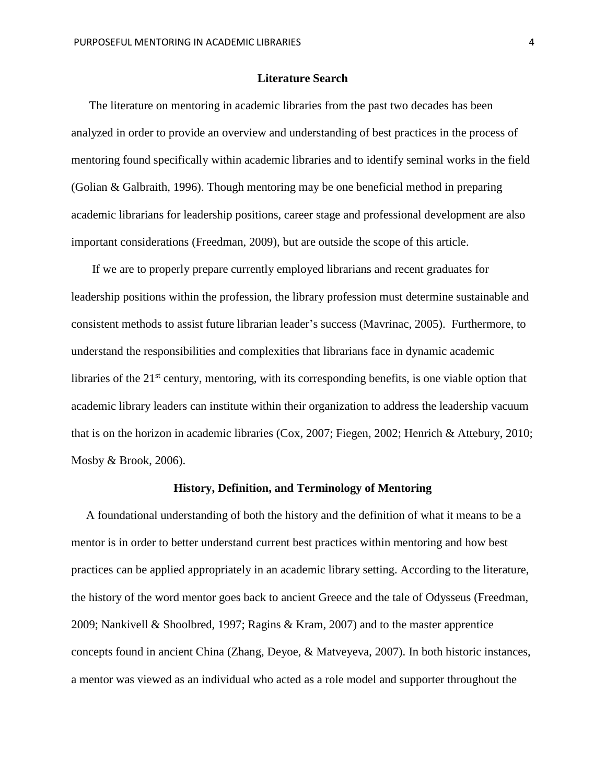#### **Literature Search**

 The literature on mentoring in academic libraries from the past two decades has been analyzed in order to provide an overview and understanding of best practices in the process of mentoring found specifically within academic libraries and to identify seminal works in the field (Golian & Galbraith, 1996). Though mentoring may be one beneficial method in preparing academic librarians for leadership positions, career stage and professional development are also important considerations (Freedman, 2009), but are outside the scope of this article.

 If we are to properly prepare currently employed librarians and recent graduates for leadership positions within the profession, the library profession must determine sustainable and consistent methods to assist future librarian leader's success (Mavrinac, 2005). Furthermore, to understand the responsibilities and complexities that librarians face in dynamic academic libraries of the  $21<sup>st</sup>$  century, mentoring, with its corresponding benefits, is one viable option that academic library leaders can institute within their organization to address the leadership vacuum that is on the horizon in academic libraries (Cox, 2007; Fiegen, 2002; Henrich & Attebury, 2010; Mosby & Brook, 2006).

#### **History, Definition, and Terminology of Mentoring**

 A foundational understanding of both the history and the definition of what it means to be a mentor is in order to better understand current best practices within mentoring and how best practices can be applied appropriately in an academic library setting. According to the literature, the history of the word mentor goes back to ancient Greece and the tale of Odysseus (Freedman, 2009; Nankivell & Shoolbred, 1997; Ragins & Kram, 2007) and to the master apprentice concepts found in ancient China (Zhang, Deyoe, & Matveyeva, 2007). In both historic instances, a mentor was viewed as an individual who acted as a role model and supporter throughout the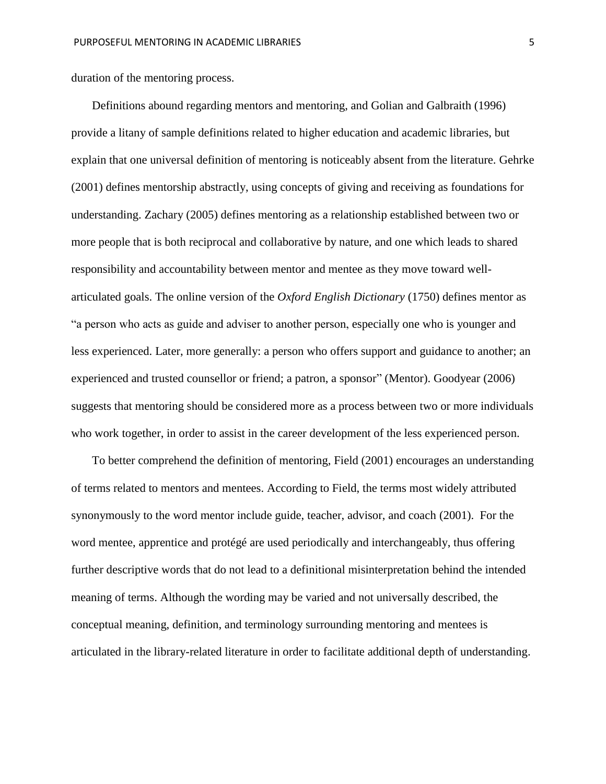duration of the mentoring process.

 Definitions abound regarding mentors and mentoring, and Golian and Galbraith (1996) provide a litany of sample definitions related to higher education and academic libraries, but explain that one universal definition of mentoring is noticeably absent from the literature. Gehrke (2001) defines mentorship abstractly, using concepts of giving and receiving as foundations for understanding. Zachary (2005) defines mentoring as a relationship established between two or more people that is both reciprocal and collaborative by nature, and one which leads to shared responsibility and accountability between mentor and mentee as they move toward wellarticulated goals. The online version of the *Oxford English Dictionary* (1750) defines mentor as "a person who acts as guide and adviser to another person, especially one who is younger and less experienced. Later, more generally: a person who offers support and guidance to another; an experienced and trusted counsellor or friend; a patron, a sponsor" (Mentor). Goodyear (2006) suggests that mentoring should be considered more as a process between two or more individuals who work together, in order to assist in the career development of the less experienced person.

 To better comprehend the definition of mentoring, Field (2001) encourages an understanding of terms related to mentors and mentees. According to Field, the terms most widely attributed synonymously to the word mentor include guide, teacher, advisor, and coach (2001). For the word mentee, apprentice and protégé are used periodically and interchangeably, thus offering further descriptive words that do not lead to a definitional misinterpretation behind the intended meaning of terms. Although the wording may be varied and not universally described, the conceptual meaning, definition, and terminology surrounding mentoring and mentees is articulated in the library-related literature in order to facilitate additional depth of understanding.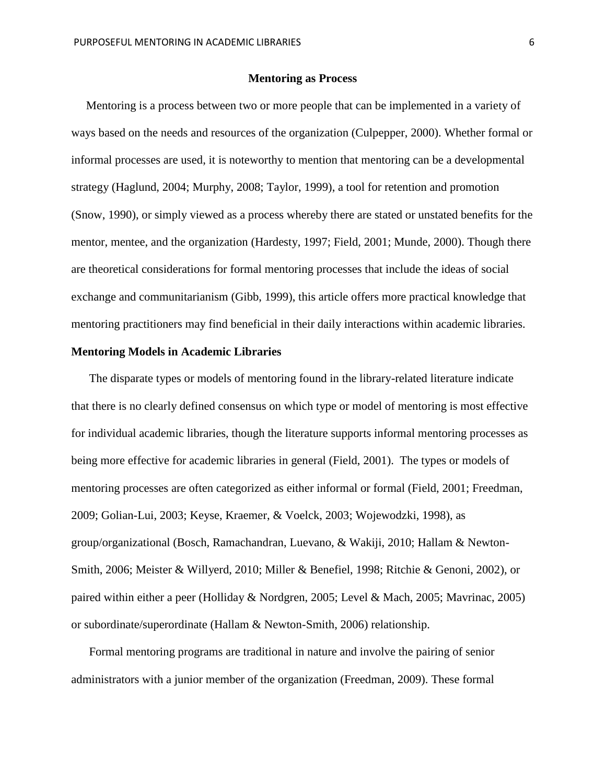#### **Mentoring as Process**

 Mentoring is a process between two or more people that can be implemented in a variety of ways based on the needs and resources of the organization (Culpepper, 2000). Whether formal or informal processes are used, it is noteworthy to mention that mentoring can be a developmental strategy (Haglund, 2004; Murphy, 2008; Taylor, 1999), a tool for retention and promotion (Snow, 1990), or simply viewed as a process whereby there are stated or unstated benefits for the mentor, mentee, and the organization (Hardesty, 1997; Field, 2001; Munde, 2000). Though there are theoretical considerations for formal mentoring processes that include the ideas of social exchange and communitarianism (Gibb, 1999), this article offers more practical knowledge that mentoring practitioners may find beneficial in their daily interactions within academic libraries.

#### **Mentoring Models in Academic Libraries**

 The disparate types or models of mentoring found in the library-related literature indicate that there is no clearly defined consensus on which type or model of mentoring is most effective for individual academic libraries, though the literature supports informal mentoring processes as being more effective for academic libraries in general (Field, 2001). The types or models of mentoring processes are often categorized as either informal or formal (Field, 2001; Freedman, 2009; Golian-Lui, 2003; Keyse, Kraemer, & Voelck, 2003; Wojewodzki, 1998), as group/organizational (Bosch, Ramachandran, Luevano, & Wakiji, 2010; Hallam & Newton-Smith, 2006; Meister & Willyerd, 2010; Miller & Benefiel, 1998; Ritchie & Genoni, 2002), or paired within either a peer (Holliday & Nordgren, 2005; Level & Mach, 2005; Mavrinac, 2005) or subordinate/superordinate (Hallam & Newton-Smith, 2006) relationship.

 Formal mentoring programs are traditional in nature and involve the pairing of senior administrators with a junior member of the organization (Freedman, 2009). These formal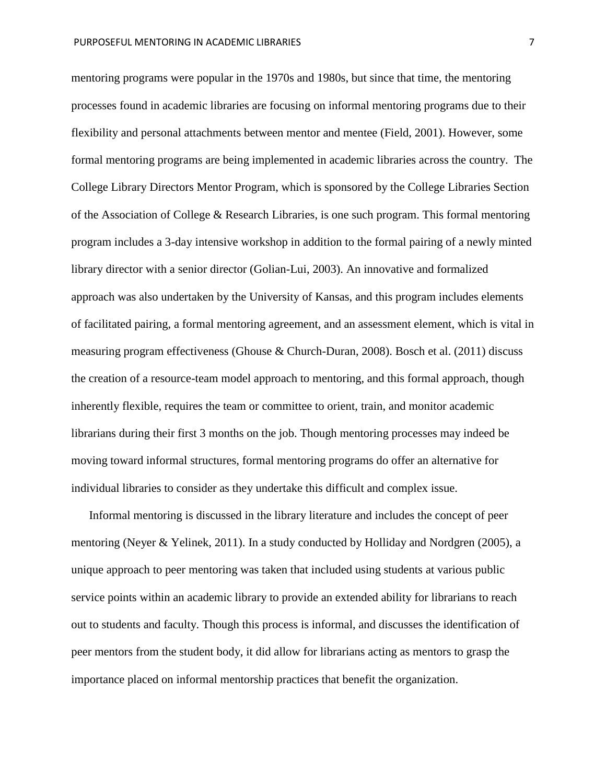mentoring programs were popular in the 1970s and 1980s, but since that time, the mentoring processes found in academic libraries are focusing on informal mentoring programs due to their flexibility and personal attachments between mentor and mentee (Field, 2001). However, some formal mentoring programs are being implemented in academic libraries across the country. The College Library Directors Mentor Program, which is sponsored by the College Libraries Section of the Association of College & Research Libraries, is one such program. This formal mentoring program includes a 3-day intensive workshop in addition to the formal pairing of a newly minted library director with a senior director (Golian-Lui, 2003). An innovative and formalized approach was also undertaken by the University of Kansas, and this program includes elements of facilitated pairing, a formal mentoring agreement, and an assessment element, which is vital in measuring program effectiveness (Ghouse & Church-Duran, 2008). Bosch et al. (2011) discuss the creation of a resource-team model approach to mentoring, and this formal approach, though inherently flexible, requires the team or committee to orient, train, and monitor academic librarians during their first 3 months on the job. Though mentoring processes may indeed be moving toward informal structures, formal mentoring programs do offer an alternative for individual libraries to consider as they undertake this difficult and complex issue.

 Informal mentoring is discussed in the library literature and includes the concept of peer mentoring (Neyer & Yelinek, 2011). In a study conducted by Holliday and Nordgren (2005), a unique approach to peer mentoring was taken that included using students at various public service points within an academic library to provide an extended ability for librarians to reach out to students and faculty. Though this process is informal, and discusses the identification of peer mentors from the student body, it did allow for librarians acting as mentors to grasp the importance placed on informal mentorship practices that benefit the organization.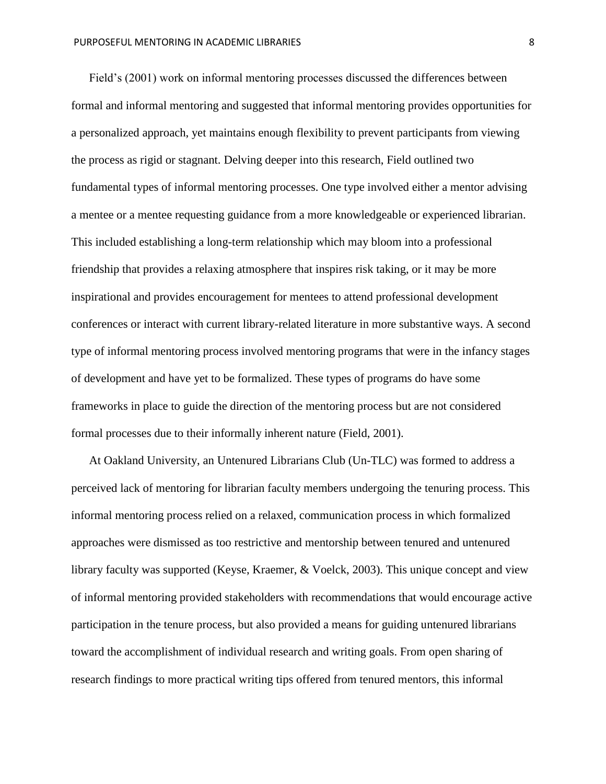Field's (2001) work on informal mentoring processes discussed the differences between formal and informal mentoring and suggested that informal mentoring provides opportunities for a personalized approach, yet maintains enough flexibility to prevent participants from viewing the process as rigid or stagnant. Delving deeper into this research, Field outlined two fundamental types of informal mentoring processes. One type involved either a mentor advising a mentee or a mentee requesting guidance from a more knowledgeable or experienced librarian. This included establishing a long-term relationship which may bloom into a professional friendship that provides a relaxing atmosphere that inspires risk taking, or it may be more inspirational and provides encouragement for mentees to attend professional development conferences or interact with current library-related literature in more substantive ways. A second type of informal mentoring process involved mentoring programs that were in the infancy stages of development and have yet to be formalized. These types of programs do have some frameworks in place to guide the direction of the mentoring process but are not considered formal processes due to their informally inherent nature (Field, 2001).

 At Oakland University, an Untenured Librarians Club (Un-TLC) was formed to address a perceived lack of mentoring for librarian faculty members undergoing the tenuring process. This informal mentoring process relied on a relaxed, communication process in which formalized approaches were dismissed as too restrictive and mentorship between tenured and untenured library faculty was supported (Keyse, Kraemer, & Voelck, 2003). This unique concept and view of informal mentoring provided stakeholders with recommendations that would encourage active participation in the tenure process, but also provided a means for guiding untenured librarians toward the accomplishment of individual research and writing goals. From open sharing of research findings to more practical writing tips offered from tenured mentors, this informal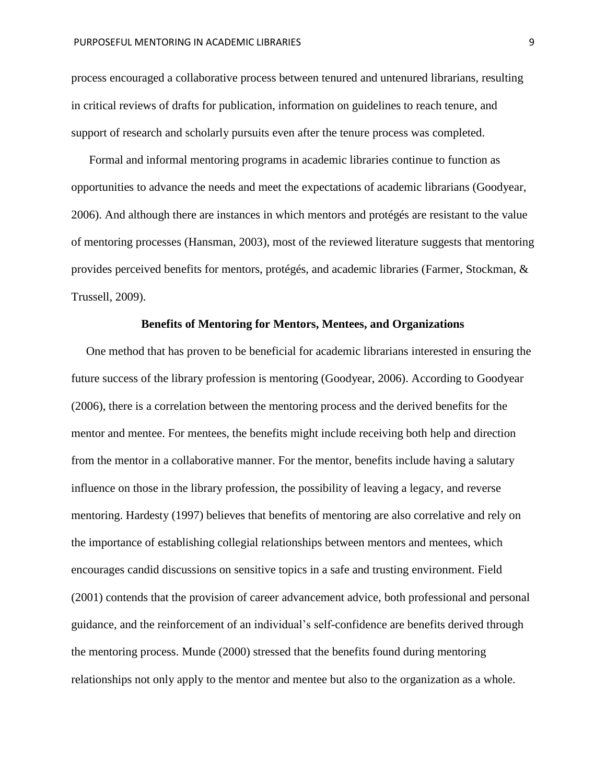process encouraged a collaborative process between tenured and untenured librarians, resulting in critical reviews of drafts for publication, information on guidelines to reach tenure, and support of research and scholarly pursuits even after the tenure process was completed.

 Formal and informal mentoring programs in academic libraries continue to function as opportunities to advance the needs and meet the expectations of academic librarians (Goodyear, 2006). And although there are instances in which mentors and protégés are resistant to the value of mentoring processes (Hansman, 2003), most of the reviewed literature suggests that mentoring provides perceived benefits for mentors, protégés, and academic libraries (Farmer, Stockman, & Trussell, 2009).

#### **Benefits of Mentoring for Mentors, Mentees, and Organizations**

 One method that has proven to be beneficial for academic librarians interested in ensuring the future success of the library profession is mentoring (Goodyear, 2006). According to Goodyear (2006), there is a correlation between the mentoring process and the derived benefits for the mentor and mentee. For mentees, the benefits might include receiving both help and direction from the mentor in a collaborative manner. For the mentor, benefits include having a salutary influence on those in the library profession, the possibility of leaving a legacy, and reverse mentoring. Hardesty (1997) believes that benefits of mentoring are also correlative and rely on the importance of establishing collegial relationships between mentors and mentees, which encourages candid discussions on sensitive topics in a safe and trusting environment. Field (2001) contends that the provision of career advancement advice, both professional and personal guidance, and the reinforcement of an individual's self-confidence are benefits derived through the mentoring process. Munde (2000) stressed that the benefits found during mentoring relationships not only apply to the mentor and mentee but also to the organization as a whole.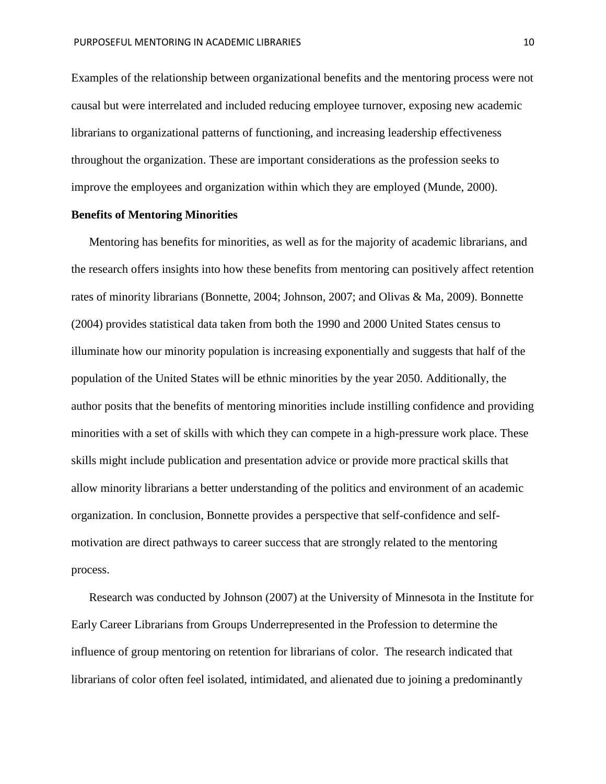Examples of the relationship between organizational benefits and the mentoring process were not causal but were interrelated and included reducing employee turnover, exposing new academic librarians to organizational patterns of functioning, and increasing leadership effectiveness throughout the organization. These are important considerations as the profession seeks to improve the employees and organization within which they are employed (Munde, 2000).

#### **Benefits of Mentoring Minorities**

 Mentoring has benefits for minorities, as well as for the majority of academic librarians, and the research offers insights into how these benefits from mentoring can positively affect retention rates of minority librarians (Bonnette, 2004; Johnson, 2007; and Olivas & Ma, 2009). Bonnette (2004) provides statistical data taken from both the 1990 and 2000 United States census to illuminate how our minority population is increasing exponentially and suggests that half of the population of the United States will be ethnic minorities by the year 2050. Additionally, the author posits that the benefits of mentoring minorities include instilling confidence and providing minorities with a set of skills with which they can compete in a high-pressure work place. These skills might include publication and presentation advice or provide more practical skills that allow minority librarians a better understanding of the politics and environment of an academic organization. In conclusion, Bonnette provides a perspective that self-confidence and selfmotivation are direct pathways to career success that are strongly related to the mentoring process.

 Research was conducted by Johnson (2007) at the University of Minnesota in the Institute for Early Career Librarians from Groups Underrepresented in the Profession to determine the influence of group mentoring on retention for librarians of color. The research indicated that librarians of color often feel isolated, intimidated, and alienated due to joining a predominantly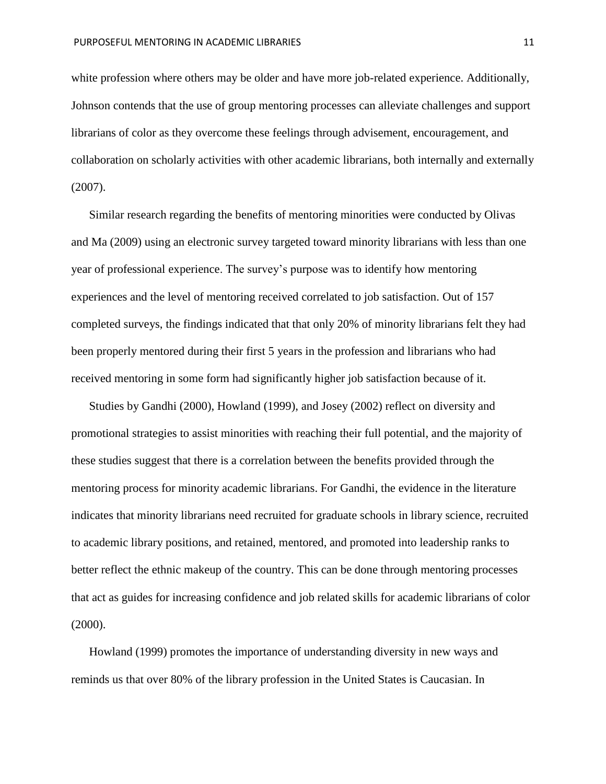white profession where others may be older and have more job-related experience. Additionally, Johnson contends that the use of group mentoring processes can alleviate challenges and support librarians of color as they overcome these feelings through advisement, encouragement, and collaboration on scholarly activities with other academic librarians, both internally and externally (2007).

 Similar research regarding the benefits of mentoring minorities were conducted by Olivas and Ma (2009) using an electronic survey targeted toward minority librarians with less than one year of professional experience. The survey's purpose was to identify how mentoring experiences and the level of mentoring received correlated to job satisfaction. Out of 157 completed surveys, the findings indicated that that only 20% of minority librarians felt they had been properly mentored during their first 5 years in the profession and librarians who had received mentoring in some form had significantly higher job satisfaction because of it.

Studies by Gandhi (2000), Howland (1999), and Josey (2002) reflect on diversity and promotional strategies to assist minorities with reaching their full potential, and the majority of these studies suggest that there is a correlation between the benefits provided through the mentoring process for minority academic librarians. For Gandhi, the evidence in the literature indicates that minority librarians need recruited for graduate schools in library science, recruited to academic library positions, and retained, mentored, and promoted into leadership ranks to better reflect the ethnic makeup of the country. This can be done through mentoring processes that act as guides for increasing confidence and job related skills for academic librarians of color (2000).

 Howland (1999) promotes the importance of understanding diversity in new ways and reminds us that over 80% of the library profession in the United States is Caucasian. In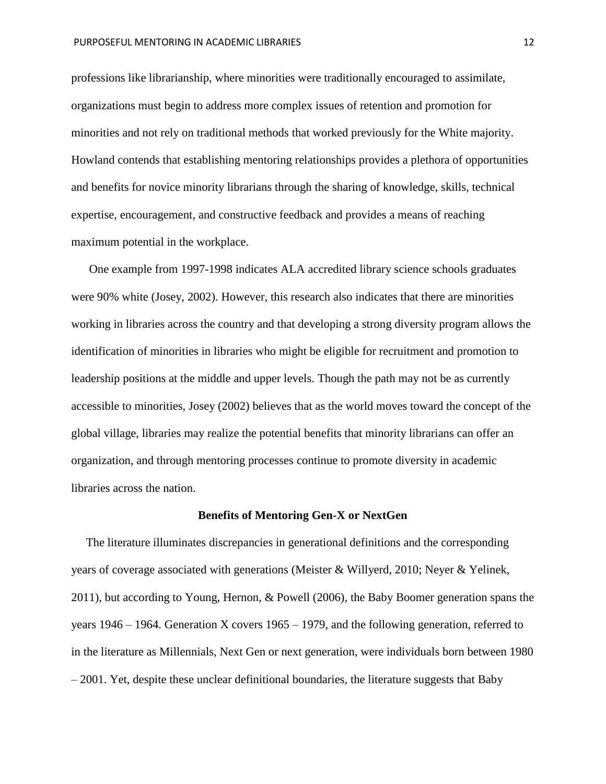professions like librarianship, where minorities were traditionally encouraged to assimilate, organizations must begin to address more complex issues of retention and promotion for minorities and not rely on traditional methods that worked previously for the White majority. Howland contends that establishing mentoring relationships provides a plethora of opportunities and benefits for novice minority librarians through the sharing of knowledge, skills, technical expertise, encouragement, and constructive feedback and provides a means of reaching maximum potential in the workplace.

 One example from 1997-1998 indicates ALA accredited library science schools graduates were 90% white (Josey, 2002). However, this research also indicates that there are minorities working in libraries across the country and that developing a strong diversity program allows the identification of minorities in libraries who might be eligible for recruitment and promotion to leadership positions at the middle and upper levels. Though the path may not be as currently accessible to minorities, Josey (2002) believes that as the world moves toward the concept of the global village, libraries may realize the potential benefits that minority librarians can offer an organization, and through mentoring processes continue to promote diversity in academic libraries across the nation.

#### **Benefits of Mentoring Gen-X or NextGen**

 The literature illuminates discrepancies in generational definitions and the corresponding years of coverage associated with generations (Meister & Willyerd, 2010; Neyer & Yelinek, 2011), but according to Young, Hernon, & Powell (2006), the Baby Boomer generation spans the years 1946 – 1964. Generation X covers 1965 – 1979, and the following generation, referred to in the literature as Millennials, Next Gen or next generation, were individuals born between 1980 – 2001. Yet, despite these unclear definitional boundaries, the literature suggests that Baby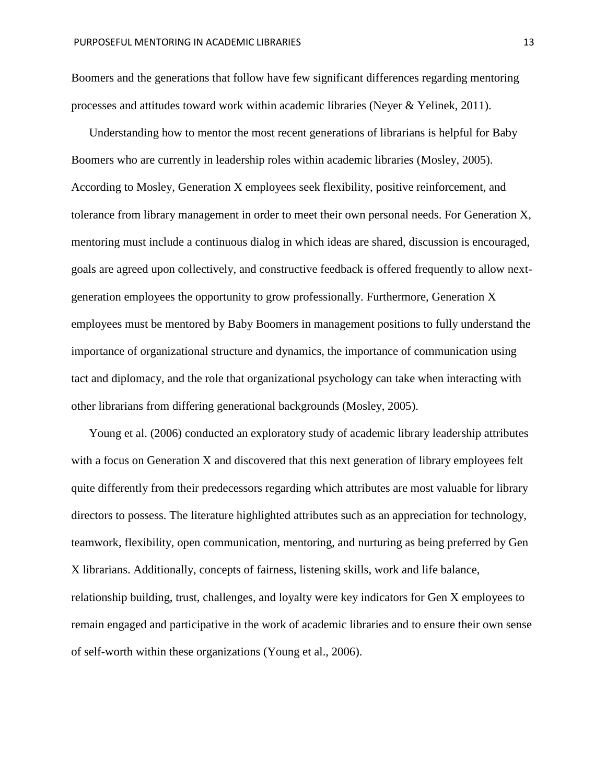Boomers and the generations that follow have few significant differences regarding mentoring processes and attitudes toward work within academic libraries (Neyer & Yelinek, 2011).

 Understanding how to mentor the most recent generations of librarians is helpful for Baby Boomers who are currently in leadership roles within academic libraries (Mosley, 2005). According to Mosley, Generation X employees seek flexibility, positive reinforcement, and tolerance from library management in order to meet their own personal needs. For Generation X, mentoring must include a continuous dialog in which ideas are shared, discussion is encouraged, goals are agreed upon collectively, and constructive feedback is offered frequently to allow nextgeneration employees the opportunity to grow professionally. Furthermore, Generation X employees must be mentored by Baby Boomers in management positions to fully understand the importance of organizational structure and dynamics, the importance of communication using tact and diplomacy, and the role that organizational psychology can take when interacting with other librarians from differing generational backgrounds (Mosley, 2005).

 Young et al. (2006) conducted an exploratory study of academic library leadership attributes with a focus on Generation X and discovered that this next generation of library employees felt quite differently from their predecessors regarding which attributes are most valuable for library directors to possess. The literature highlighted attributes such as an appreciation for technology, teamwork, flexibility, open communication, mentoring, and nurturing as being preferred by Gen X librarians. Additionally, concepts of fairness, listening skills, work and life balance, relationship building, trust, challenges, and loyalty were key indicators for Gen X employees to remain engaged and participative in the work of academic libraries and to ensure their own sense of self-worth within these organizations (Young et al., 2006).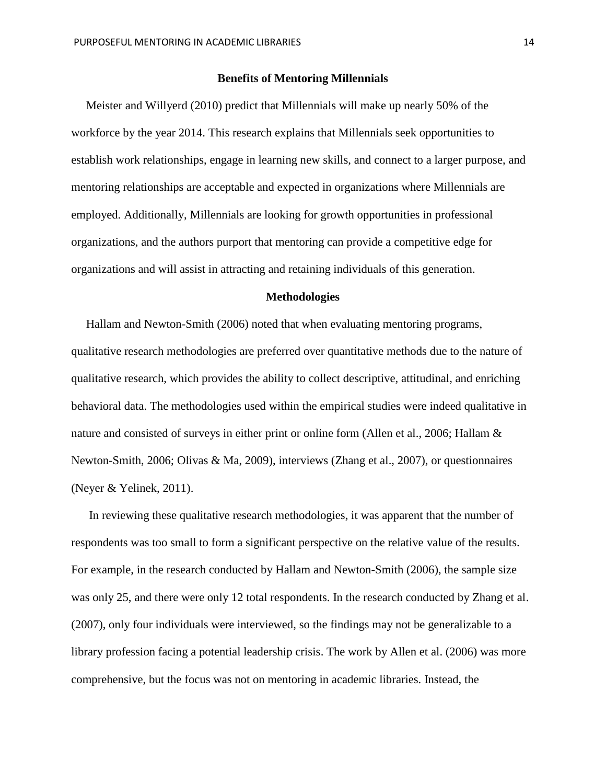#### **Benefits of Mentoring Millennials**

 Meister and Willyerd (2010) predict that Millennials will make up nearly 50% of the workforce by the year 2014. This research explains that Millennials seek opportunities to establish work relationships, engage in learning new skills, and connect to a larger purpose, and mentoring relationships are acceptable and expected in organizations where Millennials are employed. Additionally, Millennials are looking for growth opportunities in professional organizations, and the authors purport that mentoring can provide a competitive edge for organizations and will assist in attracting and retaining individuals of this generation.

#### **Methodologies**

 Hallam and Newton-Smith (2006) noted that when evaluating mentoring programs, qualitative research methodologies are preferred over quantitative methods due to the nature of qualitative research, which provides the ability to collect descriptive, attitudinal, and enriching behavioral data. The methodologies used within the empirical studies were indeed qualitative in nature and consisted of surveys in either print or online form (Allen et al., 2006; Hallam & Newton-Smith, 2006; Olivas & Ma, 2009), interviews (Zhang et al., 2007), or questionnaires (Neyer & Yelinek, 2011).

 In reviewing these qualitative research methodologies, it was apparent that the number of respondents was too small to form a significant perspective on the relative value of the results. For example, in the research conducted by Hallam and Newton-Smith (2006), the sample size was only 25, and there were only 12 total respondents. In the research conducted by Zhang et al. (2007), only four individuals were interviewed, so the findings may not be generalizable to a library profession facing a potential leadership crisis. The work by Allen et al. (2006) was more comprehensive, but the focus was not on mentoring in academic libraries. Instead, the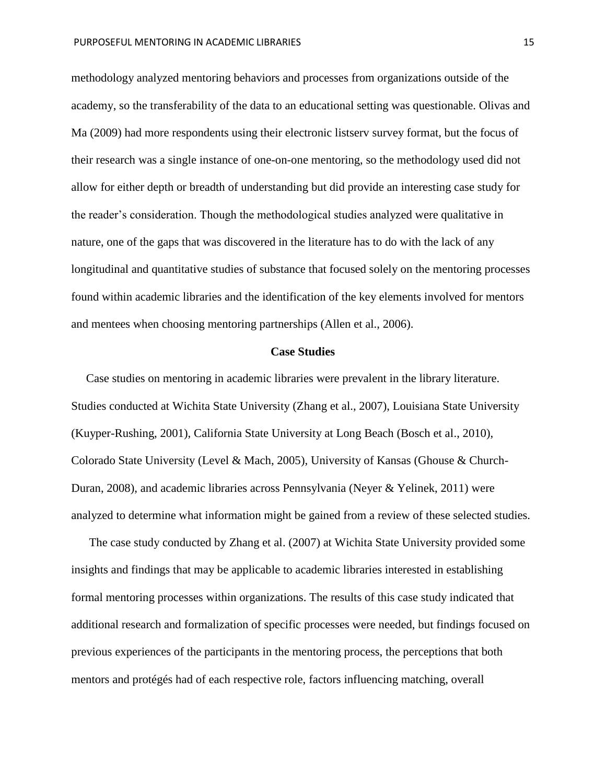methodology analyzed mentoring behaviors and processes from organizations outside of the academy, so the transferability of the data to an educational setting was questionable. Olivas and Ma (2009) had more respondents using their electronic listserv survey format, but the focus of their research was a single instance of one-on-one mentoring, so the methodology used did not allow for either depth or breadth of understanding but did provide an interesting case study for the reader's consideration. Though the methodological studies analyzed were qualitative in nature, one of the gaps that was discovered in the literature has to do with the lack of any longitudinal and quantitative studies of substance that focused solely on the mentoring processes found within academic libraries and the identification of the key elements involved for mentors and mentees when choosing mentoring partnerships (Allen et al., 2006).

#### **Case Studies**

 Case studies on mentoring in academic libraries were prevalent in the library literature. Studies conducted at Wichita State University (Zhang et al., 2007), Louisiana State University (Kuyper-Rushing, 2001), California State University at Long Beach (Bosch et al., 2010), Colorado State University (Level & Mach, 2005), University of Kansas (Ghouse & Church-Duran, 2008), and academic libraries across Pennsylvania (Neyer & Yelinek, 2011) were analyzed to determine what information might be gained from a review of these selected studies.

The case study conducted by Zhang et al. (2007) at Wichita State University provided some insights and findings that may be applicable to academic libraries interested in establishing formal mentoring processes within organizations. The results of this case study indicated that additional research and formalization of specific processes were needed, but findings focused on previous experiences of the participants in the mentoring process, the perceptions that both mentors and protégés had of each respective role, factors influencing matching, overall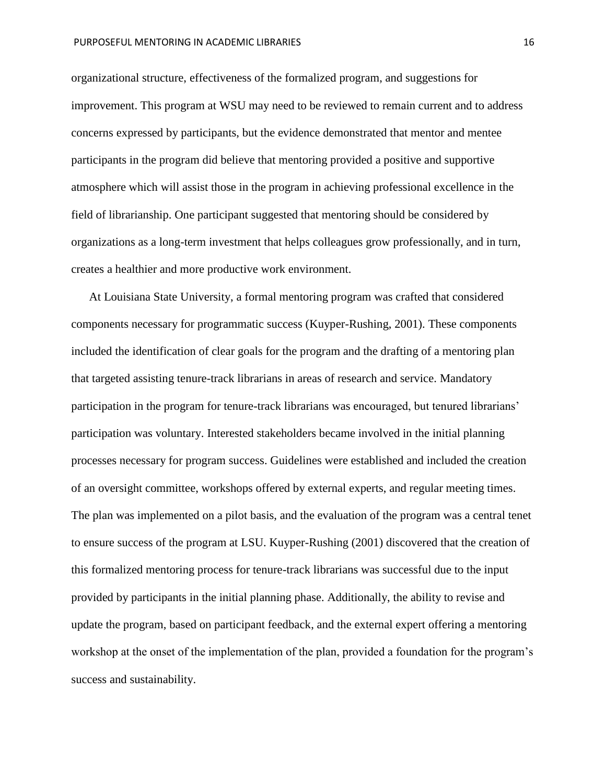organizational structure, effectiveness of the formalized program, and suggestions for improvement. This program at WSU may need to be reviewed to remain current and to address concerns expressed by participants, but the evidence demonstrated that mentor and mentee participants in the program did believe that mentoring provided a positive and supportive atmosphere which will assist those in the program in achieving professional excellence in the field of librarianship. One participant suggested that mentoring should be considered by organizations as a long-term investment that helps colleagues grow professionally, and in turn, creates a healthier and more productive work environment.

 At Louisiana State University, a formal mentoring program was crafted that considered components necessary for programmatic success (Kuyper-Rushing, 2001). These components included the identification of clear goals for the program and the drafting of a mentoring plan that targeted assisting tenure-track librarians in areas of research and service. Mandatory participation in the program for tenure-track librarians was encouraged, but tenured librarians' participation was voluntary. Interested stakeholders became involved in the initial planning processes necessary for program success. Guidelines were established and included the creation of an oversight committee, workshops offered by external experts, and regular meeting times. The plan was implemented on a pilot basis, and the evaluation of the program was a central tenet to ensure success of the program at LSU. Kuyper-Rushing (2001) discovered that the creation of this formalized mentoring process for tenure-track librarians was successful due to the input provided by participants in the initial planning phase. Additionally, the ability to revise and update the program, based on participant feedback, and the external expert offering a mentoring workshop at the onset of the implementation of the plan, provided a foundation for the program's success and sustainability.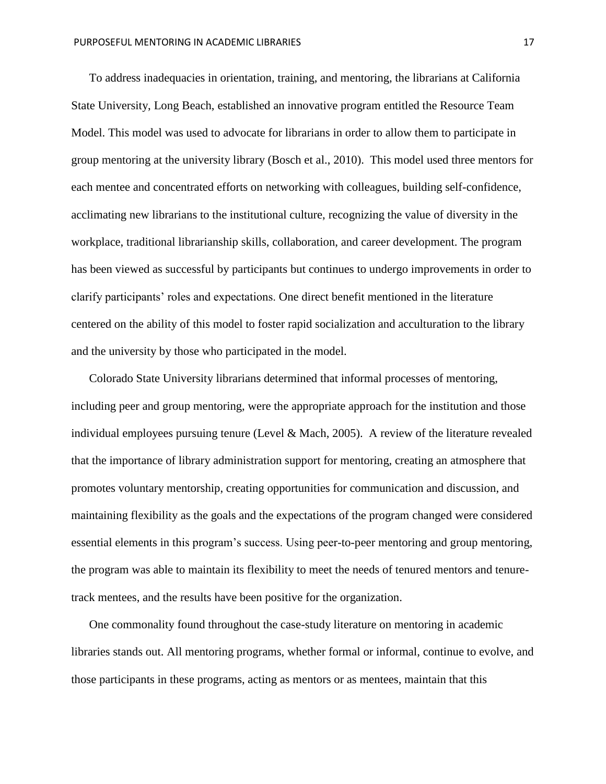To address inadequacies in orientation, training, and mentoring, the librarians at California State University, Long Beach, established an innovative program entitled the Resource Team Model. This model was used to advocate for librarians in order to allow them to participate in group mentoring at the university library (Bosch et al., 2010). This model used three mentors for each mentee and concentrated efforts on networking with colleagues, building self-confidence, acclimating new librarians to the institutional culture, recognizing the value of diversity in the workplace, traditional librarianship skills, collaboration, and career development. The program has been viewed as successful by participants but continues to undergo improvements in order to clarify participants' roles and expectations. One direct benefit mentioned in the literature centered on the ability of this model to foster rapid socialization and acculturation to the library and the university by those who participated in the model.

 Colorado State University librarians determined that informal processes of mentoring, including peer and group mentoring, were the appropriate approach for the institution and those individual employees pursuing tenure (Level & Mach, 2005). A review of the literature revealed that the importance of library administration support for mentoring, creating an atmosphere that promotes voluntary mentorship, creating opportunities for communication and discussion, and maintaining flexibility as the goals and the expectations of the program changed were considered essential elements in this program's success. Using peer-to-peer mentoring and group mentoring, the program was able to maintain its flexibility to meet the needs of tenured mentors and tenuretrack mentees, and the results have been positive for the organization.

 One commonality found throughout the case-study literature on mentoring in academic libraries stands out. All mentoring programs, whether formal or informal, continue to evolve, and those participants in these programs, acting as mentors or as mentees, maintain that this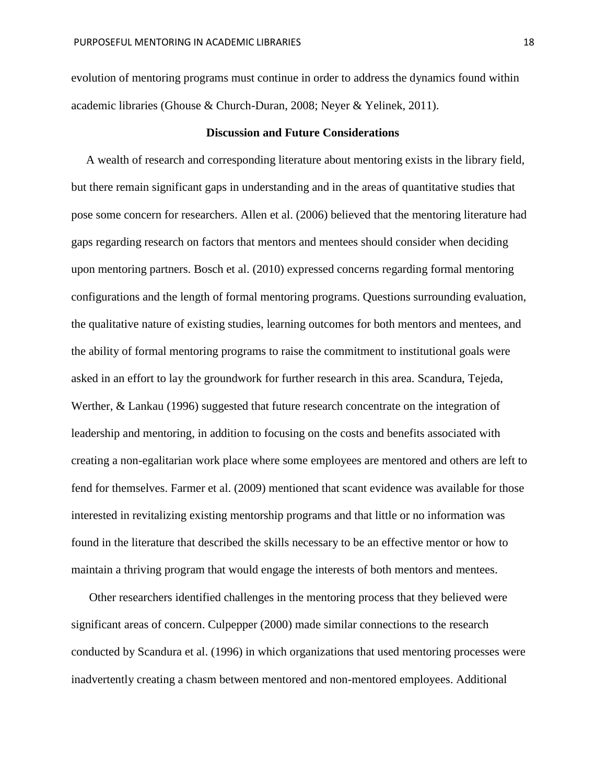evolution of mentoring programs must continue in order to address the dynamics found within academic libraries (Ghouse & Church-Duran, 2008; Neyer & Yelinek, 2011).

#### **Discussion and Future Considerations**

 A wealth of research and corresponding literature about mentoring exists in the library field, but there remain significant gaps in understanding and in the areas of quantitative studies that pose some concern for researchers. Allen et al. (2006) believed that the mentoring literature had gaps regarding research on factors that mentors and mentees should consider when deciding upon mentoring partners. Bosch et al. (2010) expressed concerns regarding formal mentoring configurations and the length of formal mentoring programs. Questions surrounding evaluation, the qualitative nature of existing studies, learning outcomes for both mentors and mentees, and the ability of formal mentoring programs to raise the commitment to institutional goals were asked in an effort to lay the groundwork for further research in this area. Scandura, Tejeda, Werther, & Lankau (1996) suggested that future research concentrate on the integration of leadership and mentoring, in addition to focusing on the costs and benefits associated with creating a non-egalitarian work place where some employees are mentored and others are left to fend for themselves. Farmer et al. (2009) mentioned that scant evidence was available for those interested in revitalizing existing mentorship programs and that little or no information was found in the literature that described the skills necessary to be an effective mentor or how to maintain a thriving program that would engage the interests of both mentors and mentees.

 Other researchers identified challenges in the mentoring process that they believed were significant areas of concern. Culpepper (2000) made similar connections to the research conducted by Scandura et al. (1996) in which organizations that used mentoring processes were inadvertently creating a chasm between mentored and non-mentored employees. Additional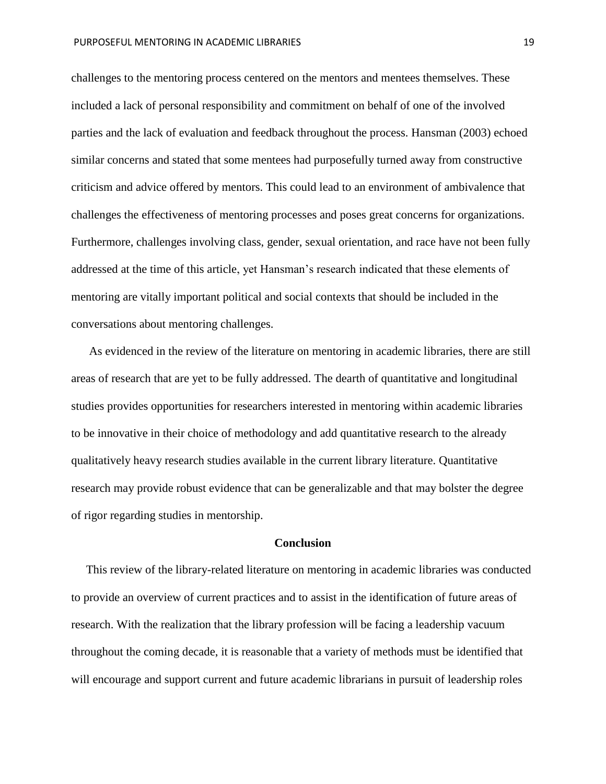challenges to the mentoring process centered on the mentors and mentees themselves. These included a lack of personal responsibility and commitment on behalf of one of the involved parties and the lack of evaluation and feedback throughout the process. Hansman (2003) echoed similar concerns and stated that some mentees had purposefully turned away from constructive criticism and advice offered by mentors. This could lead to an environment of ambivalence that challenges the effectiveness of mentoring processes and poses great concerns for organizations. Furthermore, challenges involving class, gender, sexual orientation, and race have not been fully addressed at the time of this article, yet Hansman's research indicated that these elements of mentoring are vitally important political and social contexts that should be included in the conversations about mentoring challenges.

 As evidenced in the review of the literature on mentoring in academic libraries, there are still areas of research that are yet to be fully addressed. The dearth of quantitative and longitudinal studies provides opportunities for researchers interested in mentoring within academic libraries to be innovative in their choice of methodology and add quantitative research to the already qualitatively heavy research studies available in the current library literature. Quantitative research may provide robust evidence that can be generalizable and that may bolster the degree of rigor regarding studies in mentorship.

#### **Conclusion**

 This review of the library-related literature on mentoring in academic libraries was conducted to provide an overview of current practices and to assist in the identification of future areas of research. With the realization that the library profession will be facing a leadership vacuum throughout the coming decade, it is reasonable that a variety of methods must be identified that will encourage and support current and future academic librarians in pursuit of leadership roles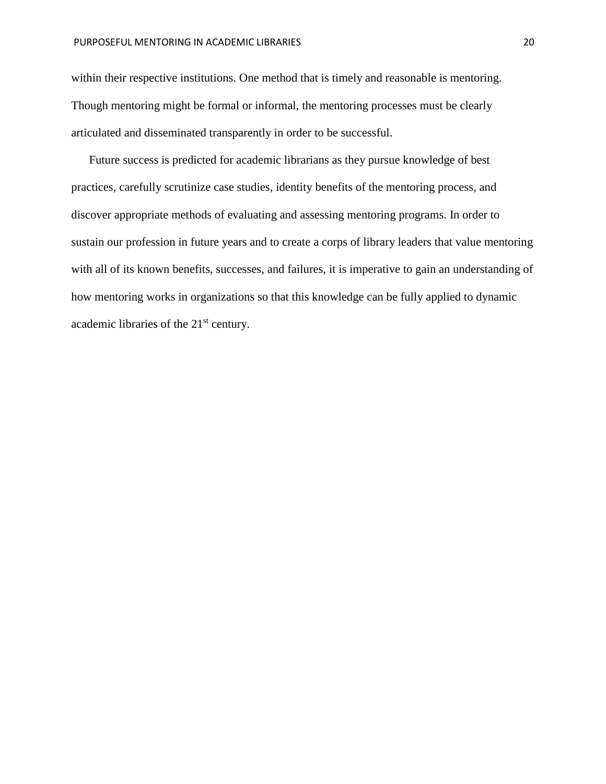within their respective institutions. One method that is timely and reasonable is mentoring. Though mentoring might be formal or informal, the mentoring processes must be clearly articulated and disseminated transparently in order to be successful.

 Future success is predicted for academic librarians as they pursue knowledge of best practices, carefully scrutinize case studies, identity benefits of the mentoring process, and discover appropriate methods of evaluating and assessing mentoring programs. In order to sustain our profession in future years and to create a corps of library leaders that value mentoring with all of its known benefits, successes, and failures, it is imperative to gain an understanding of how mentoring works in organizations so that this knowledge can be fully applied to dynamic academic libraries of the 21<sup>st</sup> century.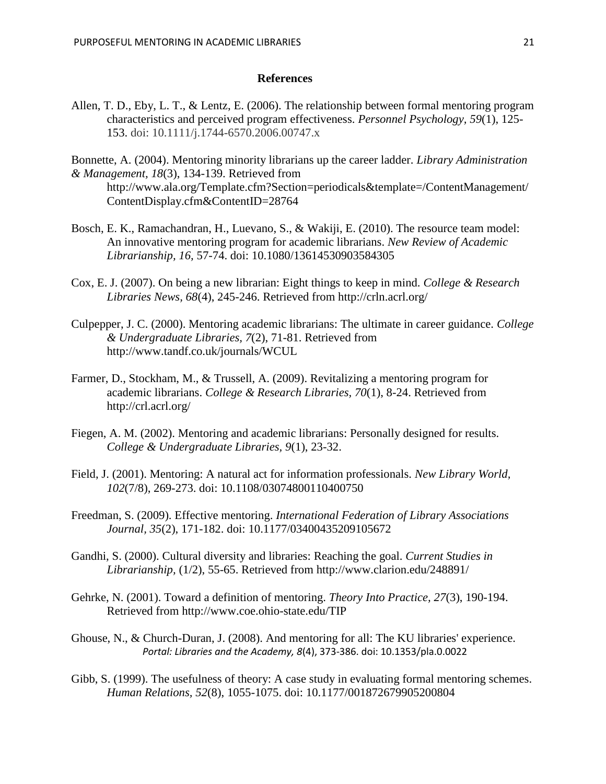#### **References**

Allen, T. D., Eby, L. T., & Lentz, E. (2006). The relationship between formal mentoring program characteristics and perceived program effectiveness. *Personnel Psychology, 59*(1), 125- 153. doi: 10.1111/j.1744-6570.2006.00747.x

Bonnette, A. (2004). Mentoring minority librarians up the career ladder. *Library Administration & Management, 18*(3), 134-139. Retrieved from http://www.ala.org/Template.cfm?Section=periodicals&template=/ContentManagement/

- ContentDisplay.cfm&ContentID=28764
- Bosch, E. K., Ramachandran, H., Luevano, S., & Wakiji, E. (2010). The resource team model: An innovative mentoring program for academic librarians. *New Review of Academic Librarianship, 16,* 57-74. doi: 10.1080/13614530903584305
- Cox, E. J. (2007). On being a new librarian: Eight things to keep in mind. *College & Research Libraries News, 68*(4), 245-246. Retrieved from http://crln.acrl.org/
- Culpepper, J. C. (2000). Mentoring academic librarians: The ultimate in career guidance. *College & Undergraduate Libraries, 7*(2), 71-81. Retrieved from http://www.tandf.co.uk/journals/WCUL
- Farmer, D., Stockham, M., & Trussell, A. (2009). Revitalizing a mentoring program for academic librarians. *College & Research Libraries, 70*(1), 8-24. Retrieved from http://crl.acrl.org/
- Fiegen, A. M. (2002). Mentoring and academic librarians: Personally designed for results. *College & Undergraduate Libraries, 9*(1), 23-32.
- Field, J. (2001). Mentoring: A natural act for information professionals. *New Library World, 102*(7/8), 269-273. doi: 10.1108/03074800110400750
- Freedman, S. (2009). Effective mentoring. *International Federation of Library Associations Journal, 35*(2), 171-182. doi: 10.1177/03400435209105672
- Gandhi, S. (2000). Cultural diversity and libraries: Reaching the goal. *Current Studies in Librarianship,* (1/2), 55-65. Retrieved from http://www.clarion.edu/248891/
- Gehrke, N. (2001). Toward a definition of mentoring. *Theory Into Practice, 27*(3), 190-194. Retrieved from http://www.coe.ohio-state.edu/TIP
- Ghouse, N., & Church-Duran, J. (2008). And mentoring for all: The KU libraries' experience. *Portal: Libraries and the Academy, 8*(4), 373-386. doi: 10.1353/pla.0.0022
- Gibb, S. (1999). The usefulness of theory: A case study in evaluating formal mentoring schemes. *Human Relations, 52*(8), 1055-1075. doi: 10.1177/001872679905200804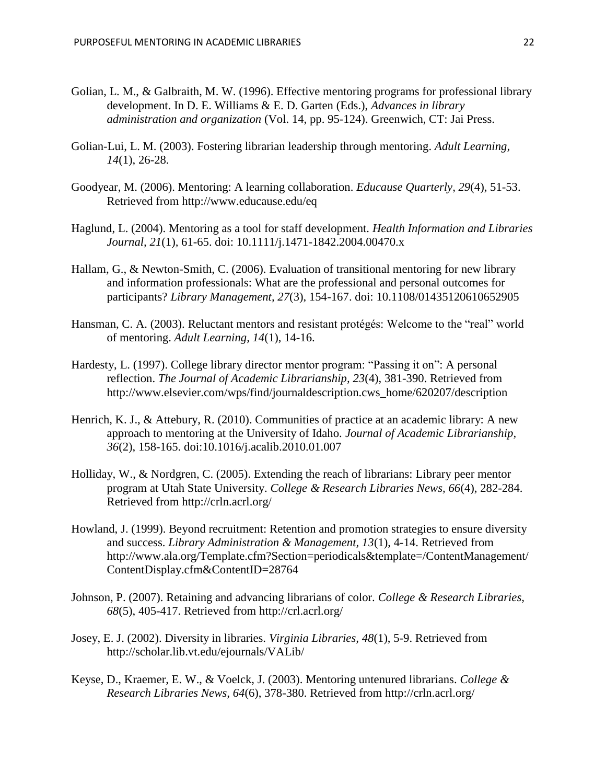- Golian, L. M., & Galbraith, M. W. (1996). Effective mentoring programs for professional library development. In D. E. Williams & E. D. Garten (Eds.), *Advances in library administration and organization* (Vol. 14, pp. 95-124). Greenwich, CT: Jai Press.
- Golian-Lui, L. M. (2003). Fostering librarian leadership through mentoring. *Adult Learning, 14*(1), 26-28.
- Goodyear, M. (2006). Mentoring: A learning collaboration. *Educause Quarterly, 29*(4), 51-53. Retrieved from http://www.educause.edu/eq
- Haglund, L. (2004). Mentoring as a tool for staff development. *Health Information and Libraries Journal, 21*(1)*,* 61-65. doi: 10.1111/j.1471-1842.2004.00470.x
- Hallam, G., & Newton-Smith, C. (2006). Evaluation of transitional mentoring for new library and information professionals: What are the professional and personal outcomes for participants? *Library Management, 27*(3), 154-167. doi: 10.1108/01435120610652905
- Hansman, C. A. (2003). Reluctant mentors and resistant protégés: Welcome to the "real" world of mentoring. *Adult Learning, 14*(1), 14-16.
- Hardesty, L. (1997). College library director mentor program: "Passing it on": A personal reflection. *The Journal of Academic Librarianship, 23*(4), 381-390. Retrieved from http://www.elsevier.com/wps/find/journaldescription.cws\_home/620207/description
- Henrich, K. J., & Attebury, R. (2010). Communities of practice at an academic library: A new approach to mentoring at the University of Idaho. *Journal of Academic Librarianship, 36*(2), 158-165. doi:10.1016/j.acalib.2010.01.007
- Holliday, W., & Nordgren, C. (2005). Extending the reach of librarians: Library peer mentor program at Utah State University. *College & Research Libraries News, 66*(4), 282-284. Retrieved from http://crln.acrl.org/
- Howland, J. (1999). Beyond recruitment: Retention and promotion strategies to ensure diversity and success. *Library Administration & Management, 13*(1), 4-14. Retrieved from http://www.ala.org/Template.cfm?Section=periodicals&template=/ContentManagement/ ContentDisplay.cfm&ContentID=28764
- Johnson, P. (2007). Retaining and advancing librarians of color. *College & Research Libraries, 68*(5), 405-417. Retrieved from http://crl.acrl.org/
- Josey, E. J. (2002). Diversity in libraries. *Virginia Libraries, 48*(1), 5-9. Retrieved from http://scholar.lib.vt.edu/ejournals/VALib/
- Keyse, D., Kraemer, E. W., & Voelck, J. (2003). Mentoring untenured librarians. *College & Research Libraries News, 64*(6), 378-380. Retrieved from http://crln.acrl.org/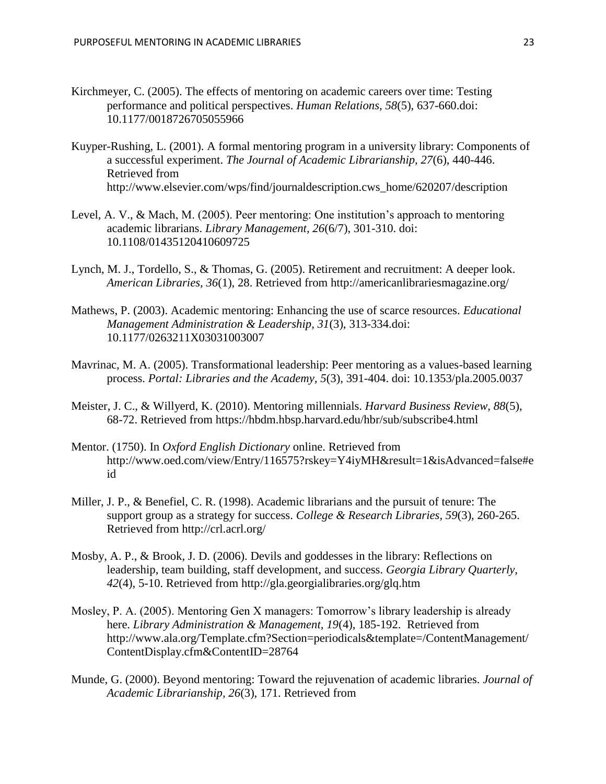- Kirchmeyer, C. (2005). The effects of mentoring on academic careers over time: Testing performance and political perspectives. *Human Relations, 58*(5), 637-660.doi: 10.1177/0018726705055966
- Kuyper-Rushing, L. (2001). A formal mentoring program in a university library: Components of a successful experiment. *The Journal of Academic Librarianship, 27*(6), 440-446. Retrieved from http://www.elsevier.com/wps/find/journaldescription.cws\_home/620207/description
- Level, A. V., & Mach, M. (2005). Peer mentoring: One institution's approach to mentoring academic librarians. *Library Management, 26*(6/7), 301-310. doi: 10.1108/01435120410609725
- Lynch, M. J., Tordello, S., & Thomas, G. (2005). Retirement and recruitment: A deeper look. *American Libraries, 36*(1), 28. Retrieved from http://americanlibrariesmagazine.org/
- Mathews, P. (2003). Academic mentoring: Enhancing the use of scarce resources. *Educational Management Administration & Leadership, 31*(3), 313-334.doi: 10.1177/0263211X03031003007
- Mavrinac, M. A. (2005). Transformational leadership: Peer mentoring as a values-based learning process. *Portal: Libraries and the Academy, 5*(3), 391-404. doi: 10.1353/pla.2005.0037
- Meister, J. C., & Willyerd, K. (2010). Mentoring millennials. *Harvard Business Review, 88*(5), 68-72. Retrieved from https://hbdm.hbsp.harvard.edu/hbr/sub/subscribe4.html
- Mentor. (1750). In *Oxford English Dictionary* online. Retrieved from http://www.oed.com/view/Entry/116575?rskey=Y4iyMH&result=1&isAdvanced=false#e id
- Miller, J. P., & Benefiel, C. R. (1998). Academic librarians and the pursuit of tenure: The support group as a strategy for success. *College & Research Libraries, 59*(3), 260-265. Retrieved from http://crl.acrl.org/
- Mosby, A. P., & Brook, J. D. (2006). Devils and goddesses in the library: Reflections on leadership, team building, staff development, and success. *Georgia Library Quarterly, 42*(4), 5-10. Retrieved from http://gla.georgialibraries.org/glq.htm
- Mosley, P. A. (2005). Mentoring Gen X managers: Tomorrow's library leadership is already here. *Library Administration & Management, 19*(4), 185-192. Retrieved from http://www.ala.org/Template.cfm?Section=periodicals&template=/ContentManagement/ ContentDisplay.cfm&ContentID=28764
- Munde, G. (2000). Beyond mentoring: Toward the rejuvenation of academic libraries. *Journal of Academic Librarianship, 26*(3), 171. Retrieved from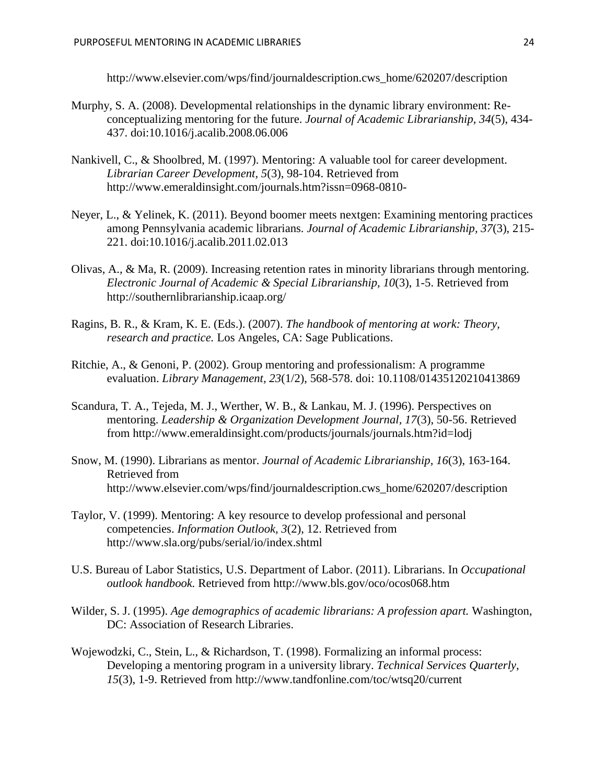http://www.elsevier.com/wps/find/journaldescription.cws\_home/620207/description

- Murphy, S. A. (2008). Developmental relationships in the dynamic library environment: Reconceptualizing mentoring for the future. *Journal of Academic Librarianship, 34*(5), 434- 437. doi:10.1016/j.acalib.2008.06.006
- Nankivell, C., & Shoolbred, M. (1997). Mentoring: A valuable tool for career development. *Librarian Career Development, 5*(3), 98-104. Retrieved from http://www.emeraldinsight.com/journals.htm?issn=0968-0810-
- Neyer, L., & Yelinek, K. (2011). Beyond boomer meets nextgen: Examining mentoring practices among Pennsylvania academic librarians. *Journal of Academic Librarianship, 37*(3), 215- 221. doi:10.1016/j.acalib.2011.02.013
- Olivas, A., & Ma, R. (2009). Increasing retention rates in minority librarians through mentoring. *Electronic Journal of Academic & Special Librarianship, 10*(3), 1-5. Retrieved from http://southernlibrarianship.icaap.org/
- Ragins, B. R., & Kram, K. E. (Eds.). (2007). *The handbook of mentoring at work: Theory, research and practice.* Los Angeles, CA: Sage Publications.
- Ritchie, A., & Genoni, P. (2002). Group mentoring and professionalism: A programme evaluation. *Library Management, 23*(1/2), 568-578. doi: 10.1108/01435120210413869
- Scandura, T. A., Tejeda, M. J., Werther, W. B., & Lankau, M. J. (1996). Perspectives on mentoring. *Leadership & Organization Development Journal, 17*(3), 50-56. Retrieved from http://www.emeraldinsight.com/products/journals/journals.htm?id=lodj
- Snow, M. (1990). Librarians as mentor. *Journal of Academic Librarianship, 16*(3), 163-164. Retrieved from http://www.elsevier.com/wps/find/journaldescription.cws\_home/620207/description
- Taylor, V. (1999). Mentoring: A key resource to develop professional and personal competencies. *Information Outlook, 3*(2), 12. Retrieved from http://www.sla.org/pubs/serial/io/index.shtml
- U.S. Bureau of Labor Statistics, U.S. Department of Labor. (2011). Librarians. In *Occupational outlook handbook.* Retrieved from http://www.bls.gov/oco/ocos068.htm
- Wilder, S. J. (1995). *Age demographics of academic librarians: A profession apart.* Washington, DC: Association of Research Libraries.
- Wojewodzki, C., Stein, L., & Richardson, T. (1998). Formalizing an informal process: Developing a mentoring program in a university library. *Technical Services Quarterly, 15*(3), 1-9. Retrieved from http://www.tandfonline.com/toc/wtsq20/current